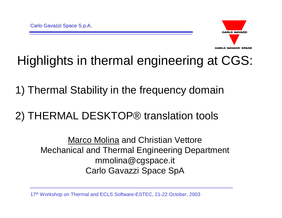

#### Highlights in thermal engineering at CGS:

1) Thermal Stability in the frequency domain

#### 2) THERMAL DESKTOP® translation tools

Marco Molina and Christian Vettore Mechanical and Thermal Engineering Department mmolina@cgspace.it Carlo Gavazzi Space SpA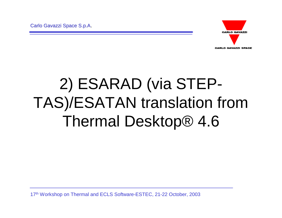

# 2) ESARAD (via STEP-TAS)/ESATAN translation from Thermal Desktop® 4.6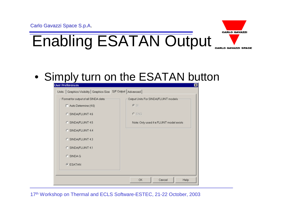

#### • Simply turn on the ESATAN button

| ×                                         |          | User Preferences                             |       |
|-------------------------------------------|----------|----------------------------------------------|-------|
|                                           | Advanced | Graphics Visibility Graphics Size S/F Output | Units |
| Output Units For SINDA/FLUINT models-     |          | Format for output of all SINDA data-         |       |
|                                           |          | $\Box$ Auto Determine (4.6)                  |       |
| $C$ ENG                                   |          | C SINDA/FLUINT 4.6                           |       |
| Note:: Only used if a FLUINT model exists |          | C SINDA/FLUINT 4.5                           |       |
|                                           |          | C SINDA/FLUINT 4.4                           |       |
|                                           |          | C SINDA/FLUINT 4.3                           |       |
|                                           |          | C SINDA/FLUINT 4.1                           |       |
|                                           |          | C SINDA G                                    |       |
|                                           |          | G ESATAN                                     |       |
|                                           |          |                                              |       |
| OK<br>Cancel<br>Help                      |          |                                              |       |
|                                           |          |                                              |       |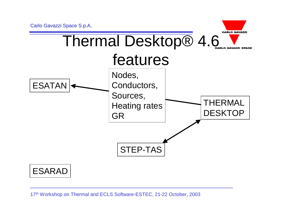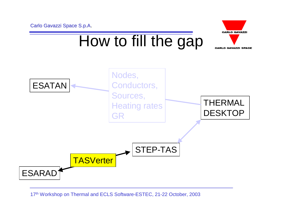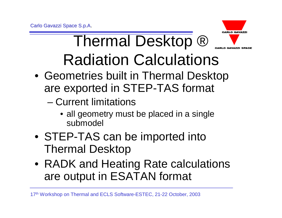

## **Thermal Desktop ®** Radiation Calculations

- Geometries built in Thermal Desktop are exported in STEP-TAS format
	- Current limitations
		- all geometry must be placed in a single submodel
- STEP-TAS can be imported into Thermal Desktop
- RADK and Heating Rate calculations are output in ESATAN format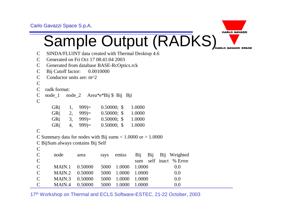Carlo Gavazzi Space S.p.A.



- C SINDA/FLUINT data created with Thermal Desktop 4.6
- C Generated on Fri Oct 17 08:41:04 2003
- C Generated from database BASE-RcOptics.rck
- C Bij Cutoff factor: 0.0010000
- C Conductor units are:  $m^2$

```
\mathcal{C}
```

```
C radk format:
```

```
C node_1 node_2 Area*e*Bij $ Bij Bji
```

```
\mathcal{C}
```

| GR <sub>(</sub> | 1, $999 =$ | $0.50000;$ \$ | 1.0000 |
|-----------------|------------|---------------|--------|
| GR(             | $2,999=$   | $0.50000;$ \$ | 1.0000 |
| GR <sub>(</sub> | (3, 999)   | $0.50000;$ \$ | 1.0000 |
| GR(             | (4, 999)   | $0.50000;$ \$ | 1.0000 |

```
\mathcal{C}
```

```
C Summary data for nodes with Bij sums < 1.0000 or > 1.0000
```

```
C BijSum always contains Bij Self
```

```
\mathcal{C}
```

| $\mathbf C$ | node           | area                              |                    |  | rays emiss Bij Bij Bij Weighted |
|-------------|----------------|-----------------------------------|--------------------|--|---------------------------------|
| $\mathbf C$ |                |                                   |                    |  | sum self inact % Error          |
| $\mathbf C$ |                | MAIN.1 0.50000 5000 1.0000 1.0000 |                    |  | 0.0                             |
| $\mathbf C$ | MAIN.2 0.50000 |                                   | 5000 1.0000 1.0000 |  | 0.0                             |
| $\mathbf C$ | MAIN.3 0.50000 |                                   | 5000 1.0000 1.0000 |  | 0.0                             |
| $\mathbf C$ | MAIN.4 0.50000 |                                   | 5000 1.0000 1.0000 |  | 0.0                             |

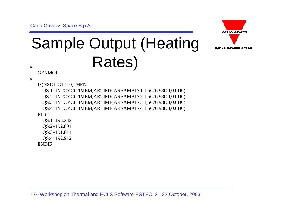Carlo Gavazzi Space S.p.A.



# Sample Output (Heating # Rates)

**GENMOR** 

#

IF(NSOL.GT.1.0)THEN

QS:1=INTCYC(TIMEM,ARTIME,ARSAMAIN1,1,5676.98D0,0.0D0) QS:2=INTCYC(TIMEM,ARTIME,ARSAMAIN2,1,5676.98D0,0.0D0) QS:3=INTCYC(TIMEM,ARTIME,ARSAMAIN3,1,5676.98D0,0.0D0) QS:4=INTCYC(TIMEM,ARTIME,ARSAMAIN4,1,5676.98D0,0.0D0) ELSE QS:1=193.242 QS:2=192.891

QS:3=191.811

QS:4=192.912

ENDIF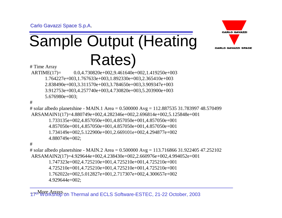# Sample Output (Heating  $H_{\text{Time Array}}$  Rates)



ARTIME(17)= 0.0,4.730820e+002,9.461640e+002,1.419250e+003 1.764227e+003,1.767633e+003,1.892330e+003,2.365410e+003 2.838490e+003,3.311570e+003,3.784650e+003,3.909347e+003 3.912753e+003,4.257740e+003,4.730820e+003,5.203900e+003 5.676980e+003;

#

# solar albedo planetshine - MAIN.1 Area = 0.500000 Avg = 112.887535 31.783997 48.570499 ARSAMAIN1(17)=4.880749e+002,4.282346e+002,2.696814e+002,5.125848e+001

1.733135e+002,4.857050e+001,4.857050e+001,4.857050e+001 4.857050e+001,4.857050e+001,4.857050e+001,4.857050e+001 1.734149e+002,5.122900e+001,2.669101e+002,4.294877e+002

4.880749e+002;

#

# solar albedo planetshine - MAIN.2 Area = 0.500000 Avg = 113.716866 31.922405 47.252102 ARSAMAIN2(17)=4.929644e+002,4.238430e+002,2.660976e+002,4.994052e+001 1.747323e+002,4.725210e+001,4.725210e+001,4.725210e+001 4.725210e+001,4.725210e+001,4.725210e+001,4.725210e+001 1.762022e+002,5.012827e+001,2.717307e+002,4.300657e+002 4.929644e+002;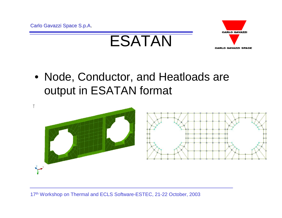



• Node, Conductor, and Heatloads are output in ESATAN format

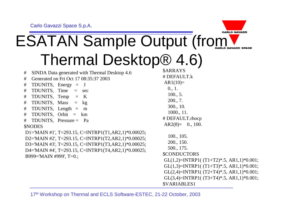

## ESATAN Sample Output (from Thermal Desktop® 4.6)

| SINDA Data generated with Thermal Desktop 4.6<br>$\#$                                                                                                                                                                                               | <b><i>\$ARRAYS</i></b>                                                                                                                                                                                                                                                                                            |
|-----------------------------------------------------------------------------------------------------------------------------------------------------------------------------------------------------------------------------------------------------|-------------------------------------------------------------------------------------------------------------------------------------------------------------------------------------------------------------------------------------------------------------------------------------------------------------------|
| Generated on Fri Oct 17 08:35:37 2003<br>#                                                                                                                                                                                                          | # DEFAULT.k                                                                                                                                                                                                                                                                                                       |
| TDUNITS, Energy $=$ J<br>#<br>TDUNITS, Time $=$ sec<br>#<br>$\#$ TDUNITS, Temp = K<br>$\#$ TDUNITS, Mass = $kg$                                                                                                                                     | $AR1(10)=$<br>0., 1.<br>100., 5.<br>200., 7.                                                                                                                                                                                                                                                                      |
| # TDUNITS, Length $=$ m<br># TDUNITS, Orbit = km<br>$\#$ TDUNITS, Pressure = Pa<br><b>\$NODES</b>                                                                                                                                                   | 300., 10.<br>1000., 11.<br># DEFAULT.rhocp<br>$AR2(8) = 0., 100.$                                                                                                                                                                                                                                                 |
| D1='MAIN #1', T=293.15, C=INTRP1(T1,AR2,1)*0.00025;<br>D2='MAIN #2', T=293.15, C=INTRP1(T2,AR2,1)*0.00025;<br>D3='MAIN #3', T=293.15, C=INTRP1(T3,AR2,1)*0.00025;<br>D4='MAIN #4', T=293.15, C=INTRP1(T4,AR2,1)*0.00025;<br>B999='MAIN #999', T=0.; | 100., 105.<br>200., 150.<br>500., 175.<br><b>\$CONDUCTORS</b><br>GL $(1,2)$ =INTRP1( $(T1+T2)*.5$ , AR1,1)*0.001;<br>GL $(1,3)$ =INTRP1( $(T1+T3)*.5$ , AR1,1)*0.001;<br>GL $(2,4)$ =INTRP1( $(T2+T4)*.5$ , AR1,1)*0.001;<br>GL $(3,4)$ =INTRP1( $(T3+T4)*.5$ , AR1,1)*0.001;<br><b><i><u>SVARIABLES1</u></i></b> |